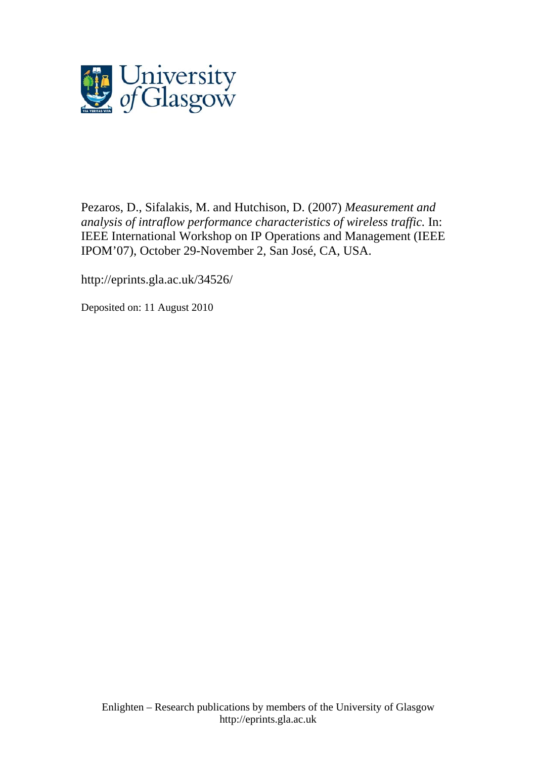

[Pezaros, D.](http://eprints.gla.ac.uk/view/author/5079.html), Sifalakis, M. and Hutchison, D. (2007) *Measurement and analysis of intraflow performance characteristics of wireless traffic.* In: IEEE International Workshop on IP Operations and Management (IEEE IPOM'07), October 29-November 2, San José, CA, USA.

http://eprints.gla.ac.uk/34526/

Deposited on: 11 August 2010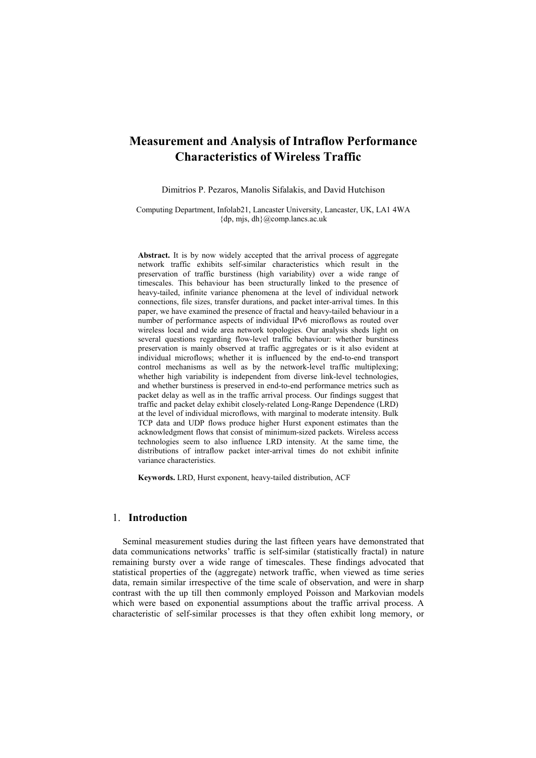# Measurement and Analysis of Intraflow Performance Characteristics of Wireless Traffic

Dimitrios P. Pezaros, Manolis Sifalakis, and David Hutchison

Computing Department, Infolab21, Lancaster University, Lancaster, UK, LA1 4WA  ${dp, mis, dh}$ @comp.lancs.ac.uk

Abstract. It is by now widely accepted that the arrival process of aggregate network traffic exhibits self-similar characteristics which result in the preservation of traffic burstiness (high variability) over a wide range of timescales. This behaviour has been structurally linked to the presence of heavy-tailed, infinite variance phenomena at the level of individual network connections, file sizes, transfer durations, and packet inter-arrival times. In this paper, we have examined the presence of fractal and heavy-tailed behaviour in a number of performance aspects of individual IPv6 microflows as routed over wireless local and wide area network topologies. Our analysis sheds light on several questions regarding flow-level traffic behaviour: whether burstiness preservation is mainly observed at traffic aggregates or is it also evident at individual microflows; whether it is influenced by the end-to-end transport control mechanisms as well as by the network-level traffic multiplexing; whether high variability is independent from diverse link-level technologies, and whether burstiness is preserved in end-to-end performance metrics such as packet delay as well as in the traffic arrival process. Our findings suggest that traffic and packet delay exhibit closely-related Long-Range Dependence (LRD) at the level of individual microflows, with marginal to moderate intensity. Bulk TCP data and UDP flows produce higher Hurst exponent estimates than the acknowledgment flows that consist of minimum-sized packets. Wireless access technologies seem to also influence LRD intensity. At the same time, the distributions of intraflow packet inter-arrival times do not exhibit infinite variance characteristics.

Keywords. LRD, Hurst exponent, heavy-tailed distribution, ACF

#### 1. Introduction

Seminal measurement studies during the last fifteen years have demonstrated that data communications networks' traffic is self-similar (statistically fractal) in nature remaining bursty over a wide range of timescales. These findings advocated that statistical properties of the (aggregate) network traffic, when viewed as time series data, remain similar irrespective of the time scale of observation, and were in sharp contrast with the up till then commonly employed Poisson and Markovian models which were based on exponential assumptions about the traffic arrival process. A characteristic of self-similar processes is that they often exhibit long memory, or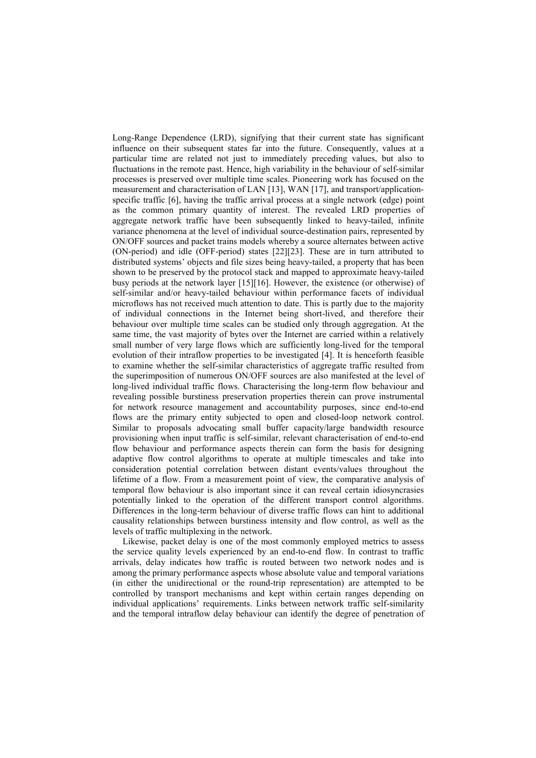Long-Range Dependence (LRD), signifying that their current state has significant influence on their subsequent states far into the future. Consequently, values at a particular time are related not just to immediately preceding values, but also to fluctuations in the remote past. Hence, high variability in the behaviour of self-similar processes is preserved over multiple time scales. Pioneering work has focused on the measurement and characterisation of LAN [13], WAN [17], and transport/applicationspecific traffic [6], having the traffic arrival process at a single network (edge) point as the common primary quantity of interest. The revealed LRD properties of aggregate network traffic have been subsequently linked to heavy-tailed, infinite variance phenomena at the level of individual source-destination pairs, represented by ON/OFF sources and packet trains models whereby a source alternates between active (ON-period) and idle (OFF-period) states [22][23]. These are in turn attributed to distributed systems' objects and file sizes being heavy-tailed, a property that has been shown to be preserved by the protocol stack and mapped to approximate heavy-tailed busy periods at the network layer [15][16]. However, the existence (or otherwise) of self-similar and/or heavy-tailed behaviour within performance facets of individual microflows has not received much attention to date. This is partly due to the majority of individual connections in the Internet being short-lived, and therefore their behaviour over multiple time scales can be studied only through aggregation. At the same time, the vast majority of bytes over the Internet are carried within a relatively small number of very large flows which are sufficiently long-lived for the temporal evolution of their intraflow properties to be investigated [4]. It is henceforth feasible to examine whether the self-similar characteristics of aggregate traffic resulted from the superimposition of numerous ON/OFF sources are also manifested at the level of long-lived individual traffic flows. Characterising the long-term flow behaviour and revealing possible burstiness preservation properties therein can prove instrumental for network resource management and accountability purposes, since end-to-end flows are the primary entity subjected to open and closed-loop network control. Similar to proposals advocating small buffer capacity/large bandwidth resource provisioning when input traffic is self-similar, relevant characterisation of end-to-end flow behaviour and performance aspects therein can form the basis for designing adaptive flow control algorithms to operate at multiple timescales and take into consideration potential correlation between distant events/values throughout the lifetime of a flow. From a measurement point of view, the comparative analysis of temporal flow behaviour is also important since it can reveal certain idiosyncrasies potentially linked to the operation of the different transport control algorithms. Differences in the long-term behaviour of diverse traffic flows can hint to additional causality relationships between burstiness intensity and flow control, as well as the levels of traffic multiplexing in the network.

Likewise, packet delay is one of the most commonly employed metrics to assess the service quality levels experienced by an end-to-end flow. In contrast to traffic arrivals, delay indicates how traffic is routed between two network nodes and is among the primary performance aspects whose absolute value and temporal variations (in either the unidirectional or the round-trip representation) are attempted to be controlled by transport mechanisms and kept within certain ranges depending on individual applications' requirements. Links between network traffic self-similarity and the temporal intraflow delay behaviour can identify the degree of penetration of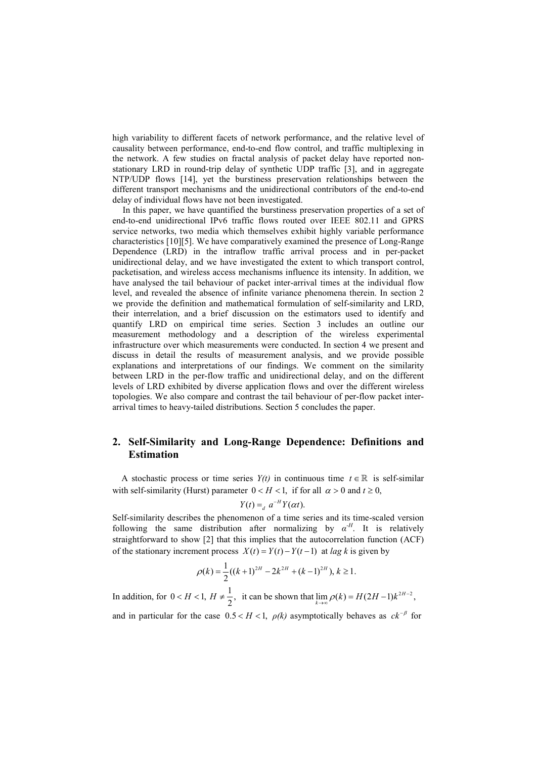high variability to different facets of network performance, and the relative level of causality between performance, end-to-end flow control, and traffic multiplexing in the network. A few studies on fractal analysis of packet delay have reported nonstationary LRD in round-trip delay of synthetic UDP traffic [3], and in aggregate NTP/UDP flows [14], yet the burstiness preservation relationships between the different transport mechanisms and the unidirectional contributors of the end-to-end delay of individual flows have not been investigated.

In this paper, we have quantified the burstiness preservation properties of a set of end-to-end unidirectional IPv6 traffic flows routed over IEEE 802.11 and GPRS service networks, two media which themselves exhibit highly variable performance characteristics [10][5]. We have comparatively examined the presence of Long-Range Dependence (LRD) in the intraflow traffic arrival process and in per-packet unidirectional delay, and we have investigated the extent to which transport control, packetisation, and wireless access mechanisms influence its intensity. In addition, we have analysed the tail behaviour of packet inter-arrival times at the individual flow level, and revealed the absence of infinite variance phenomena therein. In section 2 we provide the definition and mathematical formulation of self-similarity and LRD, their interrelation, and a brief discussion on the estimators used to identify and quantify LRD on empirical time series. Section 3 includes an outline our measurement methodology and a description of the wireless experimental infrastructure over which measurements were conducted. In section 4 we present and discuss in detail the results of measurement analysis, and we provide possible explanations and interpretations of our findings. We comment on the similarity between LRD in the per-flow traffic and unidirectional delay, and on the different levels of LRD exhibited by diverse application flows and over the different wireless topologies. We also compare and contrast the tail behaviour of per-flow packet interarrival times to heavy-tailed distributions. Section 5 concludes the paper.

## 2. Self-Similarity and Long-Range Dependence: Definitions and Estimation

A stochastic process or time series  $Y(t)$  in continuous time  $t \in \mathbb{R}$  is self-similar with self-similarity (Hurst) parameter  $0 < H < 1$ , if for all  $\alpha > 0$  and  $t \ge 0$ .

$$
Y(t) =_d a^{-H} Y(\alpha t).
$$

Self-similarity describes the phenomenon of a time series and its time-scaled version following the same distribution after normalizing by  $\alpha$ <sup>-H</sup>. It is relatively straightforward to show [2] that this implies that the autocorrelation function (ACF) of the stationary increment process  $X(t) = Y(t) - Y(t-1)$  at lag k is given by

$$
\rho(k) = \frac{1}{2}((k+1)^{2H} - 2k^{2H} + (k-1)^{2H}), k \ge 1.
$$

In addition, for  $0 < H < 1$ ,  $H \neq \frac{1}{2}$ , it can be shown that  $\lim_{k \to \infty} \rho(k) = H(2H - 1)k^{2H - 2}$ ,

and in particular for the case  $0.5 < H < 1$ ,  $\rho(k)$  asymptotically behaves as  $ck^{-\beta}$  for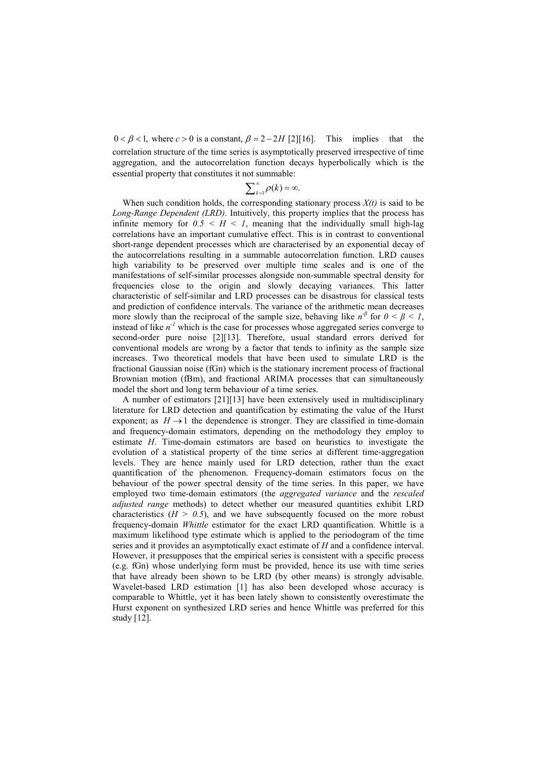$0 < \beta < 1$ , where  $c > 0$  is a constant,  $\beta = 2 - 2H$  [2][16]. This implies that the correlation structure of the time series is asymptotically preserved irrespective of time aggregation, and the autocorrelation function decays hyperbolically which is the essential property that constitutes it not summable:

$$
\sum\nolimits_{k=1}^{\infty} \rho(k) = \infty.
$$

When such condition holds, the corresponding stationary process  $X(t)$  is said to be Long-Range Dependent (LRD). Intuitively, this property implies that the process has infinite memory for  $0.5 \leq H \leq I$ , meaning that the individually small high-lag correlations have an important cumulative effect. This is in contrast to conventional short-range dependent processes which are characterised by an exponential decay of the autocorrelations resulting in a summable autocorrelation function. LRD causes high variability to be preserved over multiple time scales and is one of the manifestations of self-similar processes alongside non-summable spectral density for frequencies close to the origin and slowly decaying variances. This latter characteristic of self-similar and LRD processes can be disastrous for classical tests and prediction of confidence intervals. The variance of the arithmetic mean decreases more slowly than the reciprocal of the sample size, behaving like  $n^{\beta}$  for  $0 \le \beta \le 1$ , instead of like  $n^{-1}$  which is the case for processes whose aggregated series converge to second-order pure noise [2][13]. Therefore, usual standard errors derived for conventional models are wrong by a factor that tends to infinity as the sample size increases. Two theoretical models that have been used to simulate LRD is the fractional Gaussian noise (fGn) which is the stationary increment process of fractional Brownian motion (fBm), and fractional ARIMA processes that can simultaneously model the short and long term behaviour of a time series.

A number of estimators [21][13] have been extensively used in multidisciplinary literature for LRD detection and quantification by estimating the value of the Hurst exponent; as  $H \rightarrow 1$  the dependence is stronger. They are classified in time-domain and frequency-domain estimators, depending on the methodology they employ to estimate H. Time-domain estimators are based on heuristics to investigate the evolution of a statistical property of the time series at different time-aggregation levels. They are hence mainly used for LRD detection, rather than the exact quantification of the phenomenon. Frequency-domain estimators focus on the behaviour of the power spectral density of the time series. In this paper, we have employed two time-domain estimators (the aggregated variance and the rescaled adjusted range methods) to detect whether our measured quantities exhibit LRD characteristics  $(H > 0.5)$ , and we have subsequently focused on the more robust frequency-domain Whittle estimator for the exact LRD quantification. Whittle is a maximum likelihood type estimate which is applied to the periodogram of the time series and it provides an asymptotically exact estimate of H and a confidence interval. However, it presupposes that the empirical series is consistent with a specific process (e.g. fGn) whose underlying form must be provided, hence its use with time series that have already been shown to be LRD (by other means) is strongly advisable. Wavelet-based LRD estimation [1] has also been developed whose accuracy is comparable to Whittle, yet it has been lately shown to consistently overestimate the Hurst exponent on synthesized LRD series and hence Whittle was preferred for this study [12].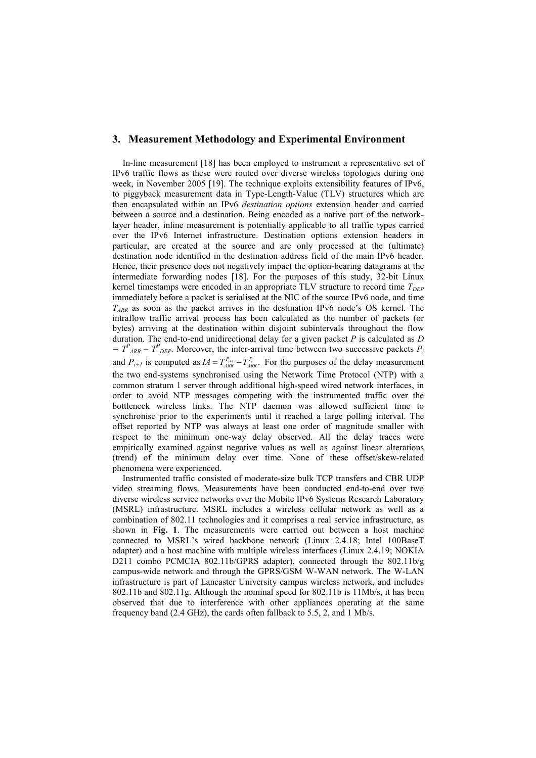### 3. Measurement Methodology and Experimental Environment

In-line measurement [18] has been employed to instrument a representative set of IPv6 traffic flows as these were routed over diverse wireless topologies during one week, in November 2005 [19]. The technique exploits extensibility features of IPv6, to piggyback measurement data in Type-Length-Value (TLV) structures which are then encapsulated within an IPv6 *destination options* extension header and carried between a source and a destination. Being encoded as a native part of the networklayer header, inline measurement is potentially applicable to all traffic types carried over the IPv6 Internet infrastructure. Destination options extension headers in particular, are created at the source and are only processed at the (ultimate) destination node identified in the destination address field of the main IPv6 header. Hence, their presence does not negatively impact the option-bearing datagrams at the intermediate forwarding nodes [18]. For the purposes of this study, 32-bit Linux kernel timestamps were encoded in an appropriate TLV structure to record time  $T_{DEP}$ immediately before a packet is serialised at the NIC of the source IPv6 node, and time  $T_{ARR}$  as soon as the packet arrives in the destination IPv6 node's OS kernel. The intraflow traffic arrival process has been calculated as the number of packets (or bytes) arriving at the destination within disjoint subintervals throughout the flow duration. The end-to-end unidirectional delay for a given packet  $P$  is calculated as  $D$  $= T_{ARR}^P - T_{DEP}^P$ . Moreover, the inter-arrival time between two successive packets  $P_i$ and  $P_{i+1}$  is computed as  $IA = T_{ARR}^{P_{i+1}} - T_{ARR}^{P_i}$ . For the purposes of the delay measurement the two end-systems synchronised using the Network Time Protocol (NTP) with a common stratum 1 server through additional high-speed wired network interfaces, in order to avoid NTP messages competing with the instrumented traffic over the bottleneck wireless links. The NTP daemon was allowed sufficient time to synchronise prior to the experiments until it reached a large polling interval. The offset reported by NTP was always at least one order of magnitude smaller with respect to the minimum one-way delay observed. All the delay traces were empirically examined against negative values as well as against linear alterations (trend) of the minimum delay over time. None of these offset/skew-related phenomena were experienced.

Instrumented traffic consisted of moderate-size bulk TCP transfers and CBR UDP video streaming flows. Measurements have been conducted end-to-end over two diverse wireless service networks over the Mobile IPv6 Systems Research Laboratory (MSRL) infrastructure. MSRL includes a wireless cellular network as well as a combination of 802.11 technologies and it comprises a real service infrastructure, as shown in Fig. 1. The measurements were carried out between a host machine connected to MSRL's wired backbone network (Linux 2.4.18; Intel 100BaseT adapter) and a host machine with multiple wireless interfaces (Linux 2.4.19; NOKIA D211 combo PCMCIA 802.11b/GPRS adapter), connected through the 802.11b/g campus-wide network and through the GPRS/GSM W-WAN network. The W-LAN infrastructure is part of Lancaster University campus wireless network, and includes 802.11b and 802.11g. Although the nominal speed for 802.11b is 11Mb/s, it has been observed that due to interference with other appliances operating at the same frequency band (2.4 GHz), the cards often fallback to 5.5, 2, and 1 Mb/s.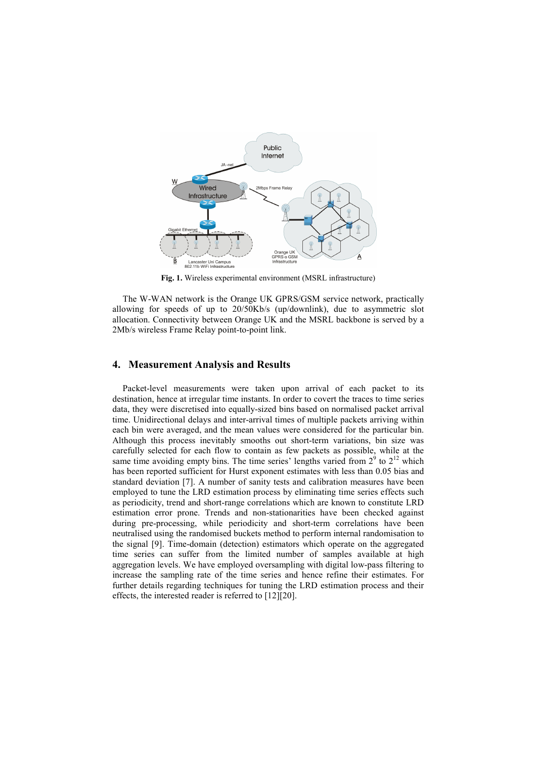

Fig. 1. Wireless experimental environment (MSRL infrastructure)

The W-WAN network is the Orange UK GPRS/GSM service network, practically allowing for speeds of up to 20/50Kb/s (up/downlink), due to asymmetric slot allocation. Connectivity between Orange UK and the MSRL backbone is served by a 2Mb/s wireless Frame Relay point-to-point link.

#### 4. Measurement Analysis and Results

Packet-level measurements were taken upon arrival of each packet to its destination, hence at irregular time instants. In order to covert the traces to time series data, they were discretised into equally-sized bins based on normalised packet arrival time. Unidirectional delays and inter-arrival times of multiple packets arriving within each bin were averaged, and the mean values were considered for the particular bin. Although this process inevitably smooths out short-term variations, bin size was carefully selected for each flow to contain as few packets as possible, while at the same time avoiding empty bins. The time series' lengths varied from  $2^9$  to  $2^{12}$  which has been reported sufficient for Hurst exponent estimates with less than 0.05 bias and standard deviation [7]. A number of sanity tests and calibration measures have been employed to tune the LRD estimation process by eliminating time series effects such as periodicity, trend and short-range correlations which are known to constitute LRD estimation error prone. Trends and non-stationarities have been checked against during pre-processing, while periodicity and short-term correlations have been neutralised using the randomised buckets method to perform internal randomisation to the signal [9]. Time-domain (detection) estimators which operate on the aggregated time series can suffer from the limited number of samples available at high aggregation levels. We have employed oversampling with digital low-pass filtering to increase the sampling rate of the time series and hence refine their estimates. For further details regarding techniques for tuning the LRD estimation process and their effects, the interested reader is referred to [12][20].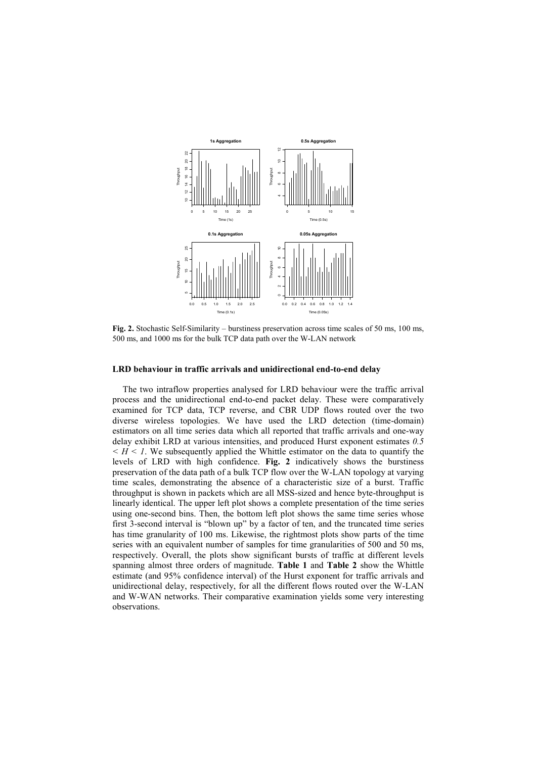

Fig. 2. Stochastic Self-Similarity – burstiness preservation across time scales of 50 ms, 100 ms, 500 ms, and 1000 ms for the bulk TCP data path over the W-LAN network

#### LRD behaviour in traffic arrivals and unidirectional end-to-end delay

The two intraflow properties analysed for LRD behaviour were the traffic arrival process and the unidirectional end-to-end packet delay. These were comparatively examined for TCP data, TCP reverse, and CBR UDP flows routed over the two diverse wireless topologies. We have used the LRD detection (time-domain) estimators on all time series data which all reported that traffic arrivals and one-way delay exhibit LRD at various intensities, and produced Hurst exponent estimates 0.5  $\leq H \leq I$ . We subsequently applied the Whittle estimator on the data to quantify the levels of LRD with high confidence. Fig. 2 indicatively shows the burstiness preservation of the data path of a bulk TCP flow over the W-LAN topology at varying time scales, demonstrating the absence of a characteristic size of a burst. Traffic throughput is shown in packets which are all MSS-sized and hence byte-throughput is linearly identical. The upper left plot shows a complete presentation of the time series using one-second bins. Then, the bottom left plot shows the same time series whose first 3-second interval is "blown up" by a factor of ten, and the truncated time series has time granularity of 100 ms. Likewise, the rightmost plots show parts of the time series with an equivalent number of samples for time granularities of 500 and 50 ms, respectively. Overall, the plots show significant bursts of traffic at different levels spanning almost three orders of magnitude. Table 1 and Table 2 show the Whittle estimate (and 95% confidence interval) of the Hurst exponent for traffic arrivals and unidirectional delay, respectively, for all the different flows routed over the W-LAN and W-WAN networks. Their comparative examination yields some very interesting observations.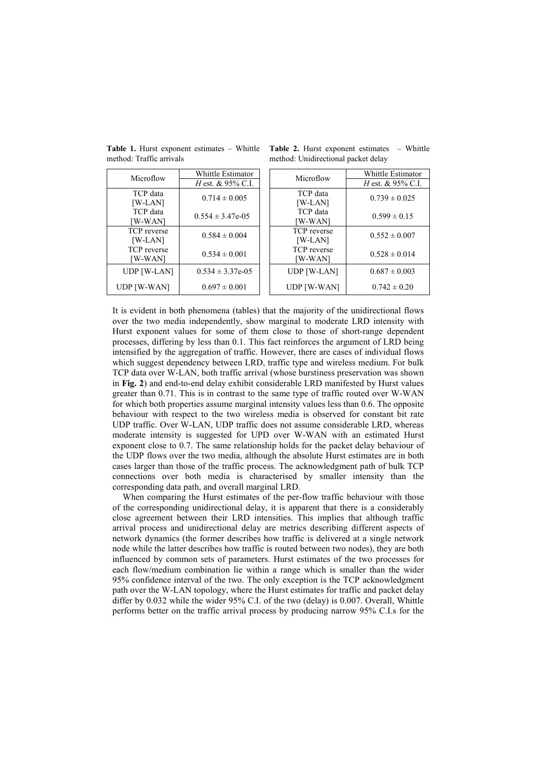| Microflow          | Whittle Estimator        |  | Microflow          | Whittle Estimator        |
|--------------------|--------------------------|--|--------------------|--------------------------|
|                    | <i>H</i> est. & 95% C.I. |  |                    | <i>H</i> est. & 95% C.I. |
| TCP data           | $0.714 \pm 0.005$        |  | TCP data           | $0.739 \pm 0.025$        |
| $[W-LAN]$          |                          |  | [W-LAN]            |                          |
| TCP data           | $0.554 \pm 3.47e-0.5$    |  | TCP data           | $0.599 \pm 0.15$         |
| [W-WAN]            |                          |  | [W-WAN]            |                          |
| TCP reverse        | $0.584 \pm 0.004$        |  | TCP reverse        | $0.552 \pm 0.007$        |
| [W-LAN]            |                          |  | [W-LAN]            |                          |
| TCP reverse        | $0.534 \pm 0.001$        |  | TCP reverse        | $0.528 \pm 0.014$        |
| [W-WAN]            |                          |  | [W-WAN]            |                          |
| <b>UDP</b> [W-LAN] | $0.534 \pm 3.37e-0.5$    |  | <b>UDP</b> [W-LAN] | $0.687 \pm 0.003$        |
|                    |                          |  |                    |                          |
| <b>UDP [W-WAN]</b> | $0.697 \pm 0.001$        |  | <b>UDP [W-WAN]</b> | $0.742 \pm 0.20$         |
|                    |                          |  |                    |                          |

Table 1. Hurst exponent estimates – Whittle method: Traffic arrivals

Table 2. Hurst exponent estimates – Whittle method: Unidirectional packet delay

It is evident in both phenomena (tables) that the majority of the unidirectional flows over the two media independently, show marginal to moderate LRD intensity with Hurst exponent values for some of them close to those of short-range dependent processes, differing by less than 0.1. This fact reinforces the argument of LRD being intensified by the aggregation of traffic. However, there are cases of individual flows which suggest dependency between LRD, traffic type and wireless medium. For bulk TCP data over W-LAN, both traffic arrival (whose burstiness preservation was shown in Fig. 2) and end-to-end delay exhibit considerable LRD manifested by Hurst values greater than 0.71. This is in contrast to the same type of traffic routed over W-WAN for which both properties assume marginal intensity values less than 0.6. The opposite behaviour with respect to the two wireless media is observed for constant bit rate UDP traffic. Over W-LAN, UDP traffic does not assume considerable LRD, whereas moderate intensity is suggested for UPD over W-WAN with an estimated Hurst exponent close to 0.7. The same relationship holds for the packet delay behaviour of the UDP flows over the two media, although the absolute Hurst estimates are in both cases larger than those of the traffic process. The acknowledgment path of bulk TCP connections over both media is characterised by smaller intensity than the corresponding data path, and overall marginal LRD.

When comparing the Hurst estimates of the per-flow traffic behaviour with those of the corresponding unidirectional delay, it is apparent that there is a considerably close agreement between their LRD intensities. This implies that although traffic arrival process and unidirectional delay are metrics describing different aspects of network dynamics (the former describes how traffic is delivered at a single network node while the latter describes how traffic is routed between two nodes), they are both influenced by common sets of parameters. Hurst estimates of the two processes for each flow/medium combination lie within a range which is smaller than the wider 95% confidence interval of the two. The only exception is the TCP acknowledgment path over the W-LAN topology, where the Hurst estimates for traffic and packet delay differ by 0.032 while the wider 95% C.I. of the two (delay) is 0.007. Overall, Whittle performs better on the traffic arrival process by producing narrow 95% C.I.s for the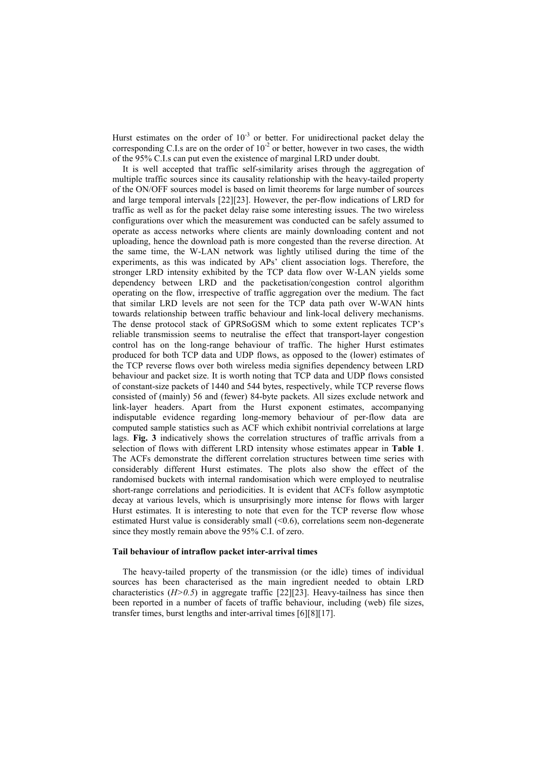Hurst estimates on the order of  $10^{-3}$  or better. For unidirectional packet delay the corresponding C.I.s are on the order of  $10^{-2}$  or better, however in two cases, the width of the 95% C.I.s can put even the existence of marginal LRD under doubt.

It is well accepted that traffic self-similarity arises through the aggregation of multiple traffic sources since its causality relationship with the heavy-tailed property of the ON/OFF sources model is based on limit theorems for large number of sources and large temporal intervals [22][23]. However, the per-flow indications of LRD for traffic as well as for the packet delay raise some interesting issues. The two wireless configurations over which the measurement was conducted can be safely assumed to operate as access networks where clients are mainly downloading content and not uploading, hence the download path is more congested than the reverse direction. At the same time, the W-LAN network was lightly utilised during the time of the experiments, as this was indicated by APs' client association logs. Therefore, the stronger LRD intensity exhibited by the TCP data flow over W-LAN yields some dependency between LRD and the packetisation/congestion control algorithm operating on the flow, irrespective of traffic aggregation over the medium. The fact that similar LRD levels are not seen for the TCP data path over W-WAN hints towards relationship between traffic behaviour and link-local delivery mechanisms. The dense protocol stack of GPRSoGSM which to some extent replicates TCP's reliable transmission seems to neutralise the effect that transport-layer congestion control has on the long-range behaviour of traffic. The higher Hurst estimates produced for both TCP data and UDP flows, as opposed to the (lower) estimates of the TCP reverse flows over both wireless media signifies dependency between LRD behaviour and packet size. It is worth noting that TCP data and UDP flows consisted of constant-size packets of 1440 and 544 bytes, respectively, while TCP reverse flows consisted of (mainly) 56 and (fewer) 84-byte packets. All sizes exclude network and link-layer headers. Apart from the Hurst exponent estimates, accompanying indisputable evidence regarding long-memory behaviour of per-flow data are computed sample statistics such as ACF which exhibit nontrivial correlations at large lags. Fig. 3 indicatively shows the correlation structures of traffic arrivals from a selection of flows with different LRD intensity whose estimates appear in Table 1. The ACFs demonstrate the different correlation structures between time series with considerably different Hurst estimates. The plots also show the effect of the randomised buckets with internal randomisation which were employed to neutralise short-range correlations and periodicities. It is evident that ACFs follow asymptotic decay at various levels, which is unsurprisingly more intense for flows with larger Hurst estimates. It is interesting to note that even for the TCP reverse flow whose estimated Hurst value is considerably small  $(<0.6)$ , correlations seem non-degenerate since they mostly remain above the 95% C.I. of zero.

#### Tail behaviour of intraflow packet inter-arrival times

The heavy-tailed property of the transmission (or the idle) times of individual sources has been characterised as the main ingredient needed to obtain LRD characteristics  $(H>0.5)$  in aggregate traffic [22][23]. Heavy-tailness has since then been reported in a number of facets of traffic behaviour, including (web) file sizes, transfer times, burst lengths and inter-arrival times [6][8][17].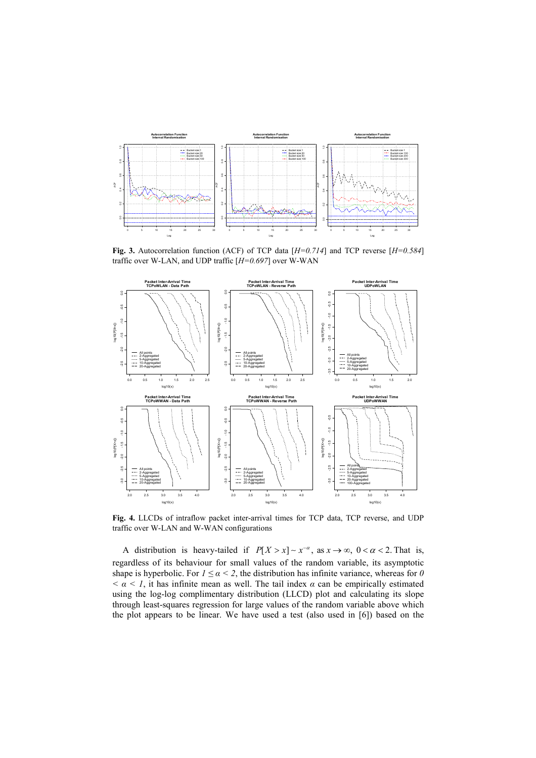

Fig. 3. Autocorrelation function (ACF) of TCP data  $[H=0.714]$  and TCP reverse  $[H=0.584]$ traffic over W-LAN, and UDP traffic  $[H=0.697]$  over W-WAN



Fig. 4. LLCDs of intraflow packet inter-arrival times for TCP data, TCP reverse, and UDP traffic over W-LAN and W-WAN configurations

A distribution is heavy-tailed if  $P[X > x] \sim x^{-\alpha}$ , as  $x \to \infty$ ,  $0 < \alpha < 2$ . That is, regardless of its behaviour for small values of the random variable, its asymptotic shape is hyperbolic. For  $1 \le \alpha < 2$ , the distribution has infinite variance, whereas for 0  $\alpha$  < *l*, it has infinite mean as well. The tail index  $\alpha$  can be empirically estimated using the log-log complimentary distribution (LLCD) plot and calculating its slope through least-squares regression for large values of the random variable above which the plot appears to be linear. We have used a test (also used in [6]) based on the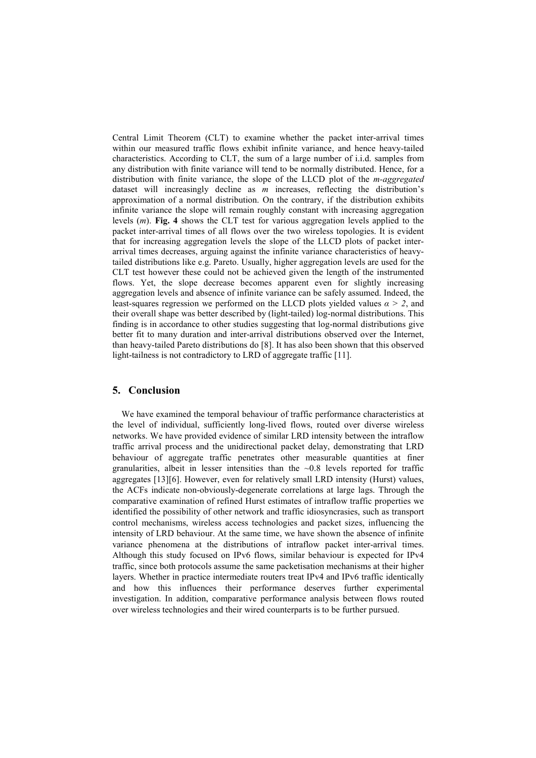Central Limit Theorem (CLT) to examine whether the packet inter-arrival times within our measured traffic flows exhibit infinite variance, and hence heavy-tailed characteristics. According to CLT, the sum of a large number of i.i.d. samples from any distribution with finite variance will tend to be normally distributed. Hence, for a distribution with finite variance, the slope of the LLCD plot of the *m-aggregated* dataset will increasingly decline as  $m$  increases, reflecting the distribution's approximation of a normal distribution. On the contrary, if the distribution exhibits infinite variance the slope will remain roughly constant with increasing aggregation levels (m). Fig. 4 shows the CLT test for various aggregation levels applied to the packet inter-arrival times of all flows over the two wireless topologies. It is evident that for increasing aggregation levels the slope of the LLCD plots of packet interarrival times decreases, arguing against the infinite variance characteristics of heavytailed distributions like e.g. Pareto. Usually, higher aggregation levels are used for the CLT test however these could not be achieved given the length of the instrumented flows. Yet, the slope decrease becomes apparent even for slightly increasing aggregation levels and absence of infinite variance can be safely assumed. Indeed, the least-squares regression we performed on the LLCD plots yielded values  $\alpha > 2$ , and their overall shape was better described by (light-tailed) log-normal distributions. This finding is in accordance to other studies suggesting that log-normal distributions give better fit to many duration and inter-arrival distributions observed over the Internet, than heavy-tailed Pareto distributions do [8]. It has also been shown that this observed light-tailness is not contradictory to LRD of aggregate traffic [11].

## 5. Conclusion

We have examined the temporal behaviour of traffic performance characteristics at the level of individual, sufficiently long-lived flows, routed over diverse wireless networks. We have provided evidence of similar LRD intensity between the intraflow traffic arrival process and the unidirectional packet delay, demonstrating that LRD behaviour of aggregate traffic penetrates other measurable quantities at finer granularities, albeit in lesser intensities than the  $\sim 0.8$  levels reported for traffic aggregates [13][6]. However, even for relatively small LRD intensity (Hurst) values, the ACFs indicate non-obviously-degenerate correlations at large lags. Through the comparative examination of refined Hurst estimates of intraflow traffic properties we identified the possibility of other network and traffic idiosyncrasies, such as transport control mechanisms, wireless access technologies and packet sizes, influencing the intensity of LRD behaviour. At the same time, we have shown the absence of infinite variance phenomena at the distributions of intraflow packet inter-arrival times. Although this study focused on IPv6 flows, similar behaviour is expected for IPv4 traffic, since both protocols assume the same packetisation mechanisms at their higher layers. Whether in practice intermediate routers treat IPv4 and IPv6 traffic identically and how this influences their performance deserves further experimental investigation. In addition, comparative performance analysis between flows routed over wireless technologies and their wired counterparts is to be further pursued.